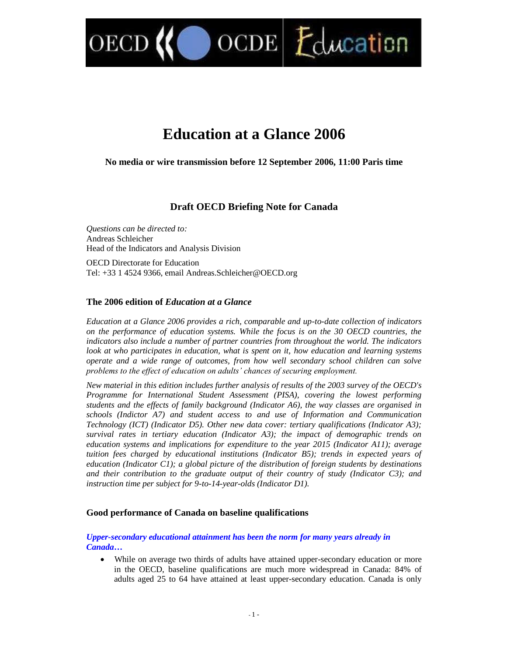OCDE Education

# **Education at a Glance 2006**

**No media or wire transmission before 12 September 2006, 11:00 Paris time**

# **Draft OECD Briefing Note for Canada**

*Questions can be directed to:* Andreas Schleicher Head of the Indicators and Analysis Division

OECD

OECD Directorate for Education Tel: +33 1 4524 9366, email Andreas.Schleicher@OECD.org

#### **The 2006 edition of** *Education at a Glance*

*Education at a Glance 2006 provides a rich, comparable and up-to-date collection of indicators on the performance of education systems. While the focus is on the 30 OECD countries, the indicators also include a number of partner countries from throughout the world. The indicators look at who participates in education, what is spent on it, how education and learning systems operate and a wide range of outcomes, from how well secondary school children can solve problems to the effect of education on adults' chances of securing employment.* 

*New material in this edition includes further analysis of results of the 2003 survey of the OECD's Programme for International Student Assessment (PISA), covering the lowest performing students and the effects of family background (Indicator A6), the way classes are organised in schools (Indictor A7) and student access to and use of Information and Communication Technology (ICT) (Indicator D5). Other new data cover: tertiary qualifications (Indicator A3); survival rates in tertiary education (Indicator A3); the impact of demographic trends on education systems and implications for expenditure to the year 2015 (Indicator A11); average tuition fees charged by educational institutions (Indicator B5); trends in expected years of education (Indicator C1); a global picture of the distribution of foreign students by destinations and their contribution to the graduate output of their country of study (Indicator C3); and instruction time per subject for 9-to-14-year-olds (Indicator D1).*

#### **Good performance of Canada on baseline qualifications**

#### *Upper-secondary educational attainment has been the norm for many years already in Canada…*

 While on average two thirds of adults have attained upper-secondary education or more in the OECD, baseline qualifications are much more widespread in Canada: 84% of adults aged 25 to 64 have attained at least upper-secondary education. Canada is only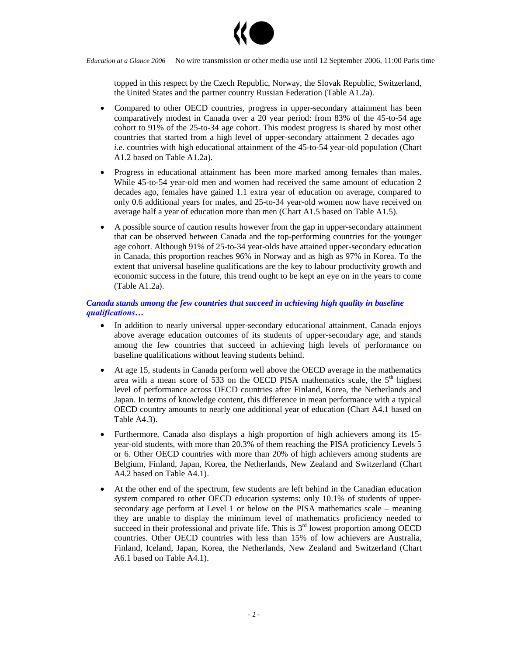

topped in this respect by the Czech Republic, Norway, the Slovak Republic, Switzerland, the United States and the partner country Russian Federation (Table A1.2a).

- Compared to other OECD countries, progress in upper-secondary attainment has been comparatively modest in Canada over a 20 year period: from 83% of the 45-to-54 age cohort to 91% of the 25-to-34 age cohort. This modest progress is shared by most other countries that started from a high level of upper-secondary attainment 2 decades ago – *i.e.* countries with high educational attainment of the 45-to-54 year-old population (Chart A1.2 based on Table A1.2a).
- Progress in educational attainment has been more marked among females than males. While 45-to-54 year-old men and women had received the same amount of education 2 decades ago, females have gained 1.1 extra year of education on average, compared to only 0.6 additional years for males, and 25-to-34 year-old women now have received on average half a year of education more than men (Chart A1.5 based on Table A1.5).
- A possible source of caution results however from the gap in upper-secondary attainment that can be observed between Canada and the top-performing countries for the younger age cohort. Although 91% of 25-to-34 year-olds have attained upper-secondary education in Canada, this proportion reaches 96% in Norway and as high as 97% in Korea. To the extent that universal baseline qualifications are the key to labour productivity growth and economic success in the future, this trend ought to be kept an eye on in the years to come (Table A1.2a).

## *Canada stands among the few countries that succeed in achieving high quality in baseline qualifications…*

- In addition to nearly universal upper-secondary educational attainment, Canada enjoys above average education outcomes of its students of upper-secondary age, and stands among the few countries that succeed in achieving high levels of performance on baseline qualifications without leaving students behind.
- At age 15, students in Canada perform well above the OECD average in the mathematics area with a mean score of  $533$  on the OECD PISA mathematics scale, the  $5<sup>th</sup>$  highest level of performance across OECD countries after Finland, Korea, the Netherlands and Japan. In terms of knowledge content, this difference in mean performance with a typical OECD country amounts to nearly one additional year of education (Chart A4.1 based on Table A4.3).
- Furthermore, Canada also displays a high proportion of high achievers among its 15 year-old students, with more than 20.3% of them reaching the PISA proficiency Levels 5 or 6. Other OECD countries with more than 20% of high achievers among students are Belgium, Finland, Japan, Korea, the Netherlands, New Zealand and Switzerland (Chart A4.2 based on Table A4.1).
- At the other end of the spectrum, few students are left behind in the Canadian education system compared to other OECD education systems: only 10.1% of students of uppersecondary age perform at Level 1 or below on the PISA mathematics scale – meaning they are unable to display the minimum level of mathematics proficiency needed to succeed in their professional and private life. This is  $3<sup>rd</sup>$  lowest proportion among OECD countries. Other OECD countries with less than 15% of low achievers are Australia, Finland, Iceland, Japan, Korea, the Netherlands, New Zealand and Switzerland (Chart A6.1 based on Table A4.1).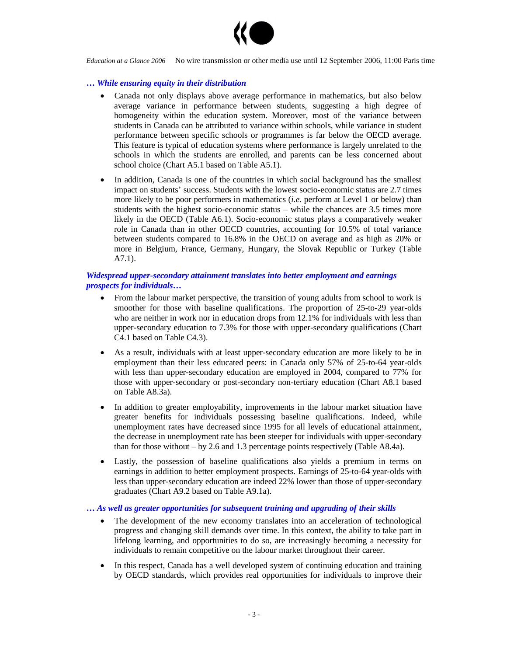

#### *… While ensuring equity in their distribution*

- Canada not only displays above average performance in mathematics, but also below average variance in performance between students, suggesting a high degree of homogeneity within the education system. Moreover, most of the variance between students in Canada can be attributed to variance within schools, while variance in student performance between specific schools or programmes is far below the OECD average. This feature is typical of education systems where performance is largely unrelated to the schools in which the students are enrolled, and parents can be less concerned about school choice (Chart A5.1 based on Table A5.1).
- In addition, Canada is one of the countries in which social background has the smallest impact on students'success. Students with the lowest socio-economic status are 2.7 times more likely to be poor performers in mathematics (*i.e.* perform at Level 1 or below) than students with the highest socio-economic status – while the chances are  $3.5$  times more likely in the OECD (Table A6.1). Socio-economic status plays a comparatively weaker role in Canada than in other OECD countries, accounting for 10.5% of total variance between students compared to 16.8% in the OECD on average and as high as 20% or more in Belgium, France, Germany, Hungary, the Slovak Republic or Turkey (Table A7.1).

#### *Widespread upper-secondary attainment translates into better employment and earnings prospects for individuals…*

- From the labour market perspective, the transition of young adults from school to work is smoother for those with baseline qualifications. The proportion of 25-to-29 year-olds who are neither in work nor in education drops from 12.1% for individuals with less than upper-secondary education to 7.3% for those with upper-secondary qualifications (Chart C4.1 based on Table C4.3).
- As a result, individuals with at least upper-secondary education are more likely to be in employment than their less educated peers: in Canada only 57% of 25-to-64 year-olds with less than upper-secondary education are employed in 2004, compared to 77% for those with upper-secondary or post-secondary non-tertiary education (Chart A8.1 based on Table A8.3a).
- In addition to greater employability, improvements in the labour market situation have greater benefits for individuals possessing baseline qualifications. Indeed, while unemployment rates have decreased since 1995 for all levels of educational attainment, the decrease in unemployment rate has been steeper for individuals with upper-secondary than for those without –by 2.6 and 1.3 percentage points respectively (Table A8.4a).
- Lastly, the possession of baseline qualifications also yields a premium in terms on earnings in addition to better employment prospects. Earnings of 25-to-64 year-olds with less than upper-secondary education are indeed 22% lower than those of upper-secondary graduates (Chart A9.2 based on Table A9.1a).

#### *… As well as greater opportunities for subsequent training and upgrading of their skills*

- The development of the new economy translates into an acceleration of technological progress and changing skill demands over time. In this context, the ability to take part in lifelong learning, and opportunities to do so, are increasingly becoming a necessity for individuals to remain competitive on the labour market throughout their career.
- In this respect, Canada has a well developed system of continuing education and training by OECD standards, which provides real opportunities for individuals to improve their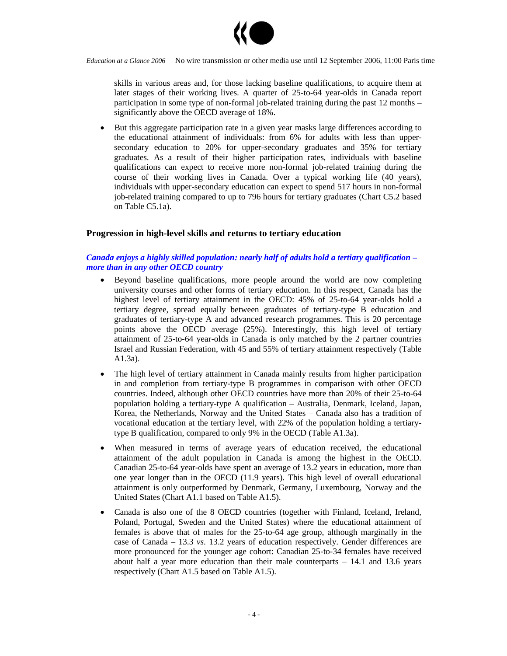

skills in various areas and, for those lacking baseline qualifications, to acquire them at later stages of their working lives. A quarter of 25-to-64 year-olds in Canada report participation in some type of non-formal job-related training during the past 12 months – significantly above the OECD average of 18%.

 But this aggregate participation rate in a given year masks large differences according to the educational attainment of individuals: from 6% for adults with less than uppersecondary education to 20% for upper-secondary graduates and 35% for tertiary graduates. As a result of their higher participation rates, individuals with baseline qualifications can expect to receive more non-formal job-related training during the course of their working lives in Canada. Over a typical working life (40 years), individuals with upper-secondary education can expect to spend 517 hours in non-formal job-related training compared to up to 796 hours for tertiary graduates (Chart C5.2 based on Table C5.1a).

## **Progression in high-level skills and returns to tertiary education**

## *Canada enjoys a highly skilled population: nearly half of adults hold a tertiary qualification – more than in any other OECD country*

- Beyond baseline qualifications, more people around the world are now completing university courses and other forms of tertiary education. In this respect, Canada has the highest level of tertiary attainment in the OECD: 45% of 25-to-64 year-olds hold a tertiary degree, spread equally between graduates of tertiary-type B education and graduates of tertiary-type A and advanced research programmes. This is 20 percentage points above the OECD average (25%). Interestingly, this high level of tertiary attainment of 25-to-64 year-olds in Canada is only matched by the 2 partner countries Israel and Russian Federation, with 45 and 55% of tertiary attainment respectively (Table A1.3a).
- The high level of tertiary attainment in Canada mainly results from higher participation in and completion from tertiary-type B programmes in comparison with other OECD countries. Indeed, although other OECD countries have more than 20% of their 25-to-64 population holding a tertiary-type A qualification –Australia, Denmark, Iceland, Japan, Korea, the Netherlands, Norway and the United States – Canada also has a tradition of vocational education at the tertiary level, with 22% of the population holding a tertiarytype B qualification, compared to only 9% in the OECD (Table A1.3a).
- When measured in terms of average years of education received, the educational attainment of the adult population in Canada is among the highest in the OECD. Canadian 25-to-64 year-olds have spent an average of 13.2 years in education, more than one year longer than in the OECD (11.9 years). This high level of overall educational attainment is only outperformed by Denmark, Germany, Luxembourg, Norway and the United States (Chart A1.1 based on Table A1.5).
- Canada is also one of the 8 OECD countries (together with Finland, Iceland, Ireland, Poland, Portugal, Sweden and the United States) where the educational attainment of females is above that of males for the 25-to-64 age group, although marginally in the case of Canada –13.3 *vs*. 13.2 years of education respectively. Gender differences are more pronounced for the younger age cohort: Canadian 25-to-34 females have received about half a year more education than their male counterparts  $-14.1$  and 13.6 years respectively (Chart A1.5 based on Table A1.5).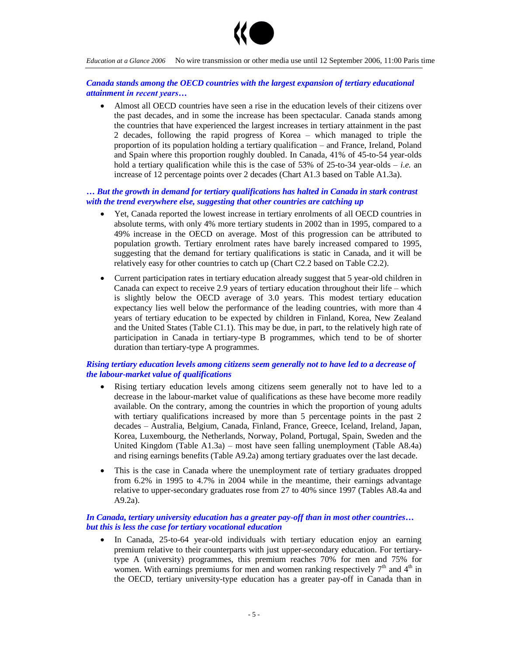

#### *Canada stands among the OECD countries with the largest expansion of tertiary educational attainment in recent years...*

 Almost all OECD countries have seen a rise in the education levels of their citizens over the past decades, and in some the increase has been spectacular. Canada stands among the countries that have experienced the largest increases in tertiary attainment in the past 2 decades, following the rapid progress of Korea –which managed to triple the proportion of its population holding a tertiary qualification – and France, Ireland, Poland and Spain where this proportion roughly doubled. In Canada, 41% of 45-to-54 year-olds hold a tertiary qualification while this is the case of 53% of 25-to-34 year-olds –*i.e.* an increase of 12 percentage points over 2 decades (Chart A1.3 based on Table A1.3a).

### *… But the growth in demand for tertiary qualifications has halted in Canada in stark contrast with the trend everywhere else, suggesting that other countries are catching up*

- Yet, Canada reported the lowest increase in tertiary enrolments of all OECD countries in absolute terms, with only 4% more tertiary students in 2002 than in 1995, compared to a 49% increase in the OECD on average. Most of this progression can be attributed to population growth. Tertiary enrolment rates have barely increased compared to 1995, suggesting that the demand for tertiary qualifications is static in Canada, and it will be relatively easy for other countries to catch up (Chart C2.2 based on Table C2.2).
- Current participation rates in tertiary education already suggest that 5 year-old children in Canada can expect to receive 2.9 years of tertiary education throughout their life – which is slightly below the OECD average of 3.0 years. This modest tertiary education expectancy lies well below the performance of the leading countries, with more than 4 years of tertiary education to be expected by children in Finland, Korea, New Zealand and the United States (Table C1.1). This may be due, in part, to the relatively high rate of participation in Canada in tertiary-type B programmes, which tend to be of shorter duration than tertiary-type A programmes.

## *Rising tertiary education levels among citizens seem generally not to have led to a decrease of the labour-market value of qualifications*

- Rising tertiary education levels among citizens seem generally not to have led to a decrease in the labour-market value of qualifications as these have become more readily available. On the contrary, among the countries in which the proportion of young adults with tertiary qualifications increased by more than 5 percentage points in the past 2 decades –Australia, Belgium, Canada, Finland, France, Greece, Iceland, Ireland, Japan, Korea, Luxembourg, the Netherlands, Norway, Poland, Portugal, Spain, Sweden and the United Kingdom (Table A1.3a) – most have seen falling unemployment (Table A8.4a) and rising earnings benefits (Table A9.2a) among tertiary graduates over the last decade.
- This is the case in Canada where the unemployment rate of tertiary graduates dropped from 6.2% in 1995 to 4.7% in 2004 while in the meantime, their earnings advantage relative to upper-secondary graduates rose from 27 to 40% since 1997 (Tables A8.4a and A9.2a).

#### *In Canada, tertiary university education has a greater pay-off than in most other countries… but this is less the case for tertiary vocational education*

 In Canada, 25-to-64 year-old individuals with tertiary education enjoy an earning premium relative to their counterparts with just upper-secondary education. For tertiarytype A (university) programmes, this premium reaches 70% for men and 75% for women. With earnings premiums for men and women ranking respectively  $7<sup>th</sup>$  and  $4<sup>th</sup>$  in the OECD, tertiary university-type education has a greater pay-off in Canada than in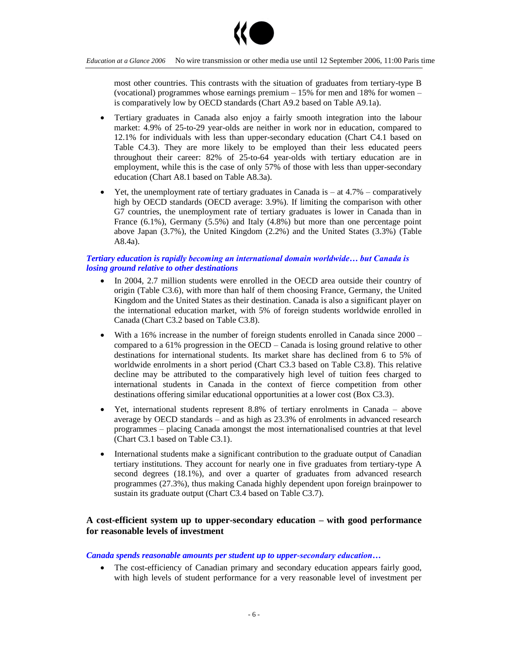

most other countries. This contrasts with the situation of graduates from tertiary-type B (vocational) programmes whose earnings premium  $-15%$  for men and 18% for women – is comparatively low by OECD standards (Chart A9.2 based on Table A9.1a).

- Tertiary graduates in Canada also enjoy a fairly smooth integration into the labour market: 4.9% of 25-to-29 year-olds are neither in work nor in education, compared to 12.1% for individuals with less than upper-secondary education (Chart C4.1 based on Table C4.3). They are more likely to be employed than their less educated peers throughout their career: 82% of 25-to-64 year-olds with tertiary education are in employment, while this is the case of only 57% of those with less than upper-secondary education (Chart A8.1 based on Table A8.3a).
- Yet, the unemployment rate of tertiary graduates in Canada is  $-$  at 4.7% comparatively high by OECD standards (OECD average: 3.9%). If limiting the comparison with other G7 countries, the unemployment rate of tertiary graduates is lower in Canada than in France (6.1%), Germany (5.5%) and Italy (4.8%) but more than one percentage point above Japan (3.7%), the United Kingdom (2.2%) and the United States (3.3%) (Table A8.4a).

### *Tertiary education is rapidlybecominganinternationaldomainworldwide… butCanadais losing ground relative to other destinations*

- In 2004, 2.7 million students were enrolled in the OECD area outside their country of origin (Table C3.6), with more than half of them choosing France, Germany, the United Kingdom and the United States as their destination. Canada is also a significant player on the international education market, with 5% of foreign students worldwide enrolled in Canada (Chart C3.2 based on Table C3.8).
- With a 16% increase in the number of foreign students enrolled in Canada since 2000 compared to a 61% progression in the OECD –Canada is losing ground relative to other destinations for international students. Its market share has declined from 6 to 5% of worldwide enrolments in a short period (Chart C3.3 based on Table C3.8). This relative decline may be attributed to the comparatively high level of tuition fees charged to international students in Canada in the context of fierce competition from other destinations offering similar educational opportunities at a lower cost (Box C3.3).
- Yet, international students represent 8.8% of tertiary enrolments in Canada above average by OECD standards – and as high as 23.3% of enrolments in advanced research programmes –placing Canada amongst the most internationalised countries at that level (Chart C3.1 based on Table C3.1).
- International students make a significant contribution to the graduate output of Canadian tertiary institutions. They account for nearly one in five graduates from tertiary-type A second degrees (18.1%), and over a quarter of graduates from advanced research programmes (27.3%), thus making Canada highly dependent upon foreign brainpower to sustain its graduate output (Chart C3.4 based on Table C3.7).

# **A cost-efficient system up to upper-secondary education –with good performance for reasonable levels of investment**

#### *Canada spends reasonable amounts per student up to upper-secondaryeducation…*

 The cost-efficiency of Canadian primary and secondary education appears fairly good, with high levels of student performance for a very reasonable level of investment per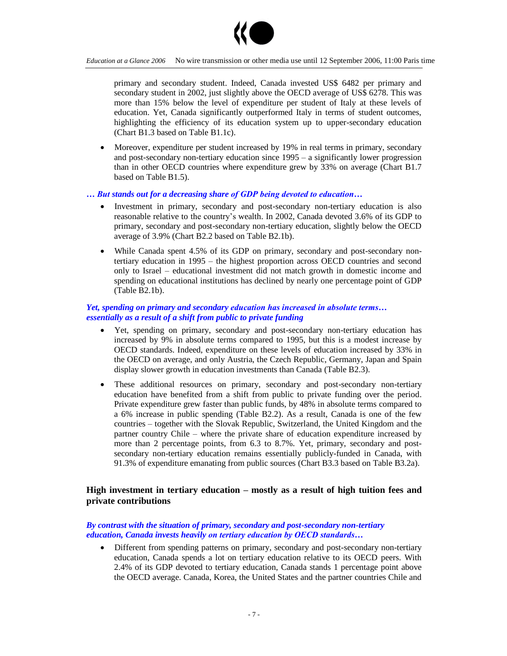

primary and secondary student. Indeed, Canada invested US\$ 6482 per primary and secondary student in 2002, just slightly above the OECD average of US\$ 6278. This was more than 15% below the level of expenditure per student of Italy at these levels of education. Yet, Canada significantly outperformed Italy in terms of student outcomes, highlighting the efficiency of its education system up to upper-secondary education (Chart B1.3 based on Table B1.1c).

 Moreover, expenditure per student increased by 19% in real terms in primary, secondary and post-secondary non-tertiary education since  $1995 - a$  significantly lower progression than in other OECD countries where expenditure grew by 33% on average (Chart B1.7 based on Table B1.5).

**…** But stands out for a decreasing share of GDP being devoted to education…

- Investment in primary, secondary and post-secondary non-tertiary education is also reasonable relative to the country's wealth. In 2002, Canada devoted 3.6% of its GDP to primary, secondary and post-secondary non-tertiary education, slightly below the OECD average of 3.9% (Chart B2.2 based on Table B2.1b).
- While Canada spent 4.5% of its GDP on primary, secondary and post-secondary nontertiary education in  $1995 -$  the highest proportion across OECD countries and second only to Israel –educational investment did not match growth in domestic income and spending on educational institutions has declined by nearly one percentage point of GDP (Table B2.1b).

#### *Yet, spending on primary and secondary education has increased in absolute terms... essentially as a result of a shift from public to private funding*

- Yet, spending on primary, secondary and post-secondary non-tertiary education has increased by 9% in absolute terms compared to 1995, but this is a modest increase by OECD standards. Indeed, expenditure on these levels of education increased by 33% in the OECD on average, and only Austria, the Czech Republic, Germany, Japan and Spain display slower growth in education investments than Canada (Table B2.3).
- These additional resources on primary, secondary and post-secondary non-tertiary education have benefited from a shift from public to private funding over the period. Private expenditure grew faster than public funds, by 48% in absolute terms compared to a 6% increase in public spending (Table B2.2). As a result, Canada is one of the few countries – together with the Slovak Republic, Switzerland, the United Kingdom and the partner country Chile –where the private share of education expenditure increased by more than 2 percentage points, from 6.3 to 8.7%. Yet, primary, secondary and postsecondary non-tertiary education remains essentially publicly-funded in Canada, with 91.3% of expenditure emanating from public sources (Chart B3.3 based on Table B3.2a).

# **High investment in tertiary education –mostly as a result of high tuition fees and private contributions**

#### *By contrast with the situation of primary, secondary and post-secondary non-tertiary education, Canada invests heavily on tertiary education by OECD standards...*

 Different from spending patterns on primary, secondary and post-secondary non-tertiary education, Canada spends a lot on tertiary education relative to its OECD peers. With 2.4% of its GDP devoted to tertiary education, Canada stands 1 percentage point above the OECD average. Canada, Korea, the United States and the partner countries Chile and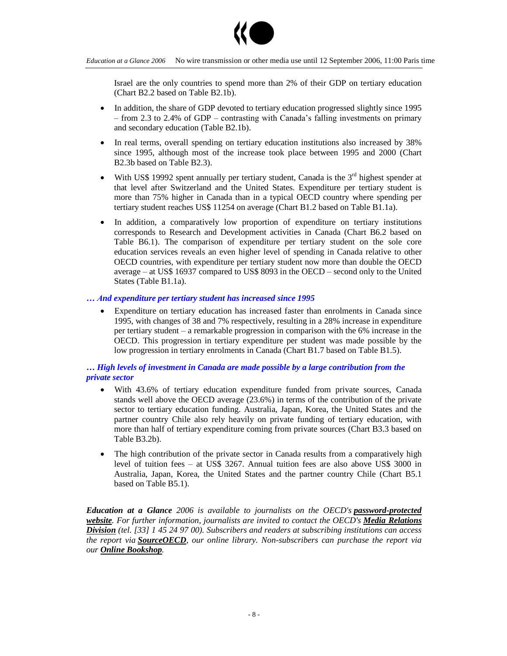

Israel are the only countries to spend more than 2% of their GDP on tertiary education (Chart B2.2 based on Table B2.1b).

- In addition, the share of GDP devoted to tertiary education progressed slightly since 1995 – from 2.3 to 2.4% of GDP – contrasting with Canada's falling investments on primary and secondary education (Table B2.1b).
- In real terms, overall spending on tertiary education institutions also increased by 38% since 1995, although most of the increase took place between 1995 and 2000 (Chart B2.3b based on Table B2.3).
- With US\$ 19992 spent annually per tertiary student, Canada is the  $3<sup>rd</sup>$  highest spender at that level after Switzerland and the United States. Expenditure per tertiary student is more than 75% higher in Canada than in a typical OECD country where spending per tertiary student reaches US\$ 11254 on average (Chart B1.2 based on Table B1.1a).
- In addition, a comparatively low proportion of expenditure on tertiary institutions corresponds to Research and Development activities in Canada (Chart B6.2 based on Table B6.1). The comparison of expenditure per tertiary student on the sole core education services reveals an even higher level of spending in Canada relative to other OECD countries, with expenditure per tertiary student now more than double the OECD average – at US\$ 16937 compared to US\$ 8093 in the OECD – second only to the United States (Table B1.1a).

#### *… And expenditure per tertiary student has increased since 1995*

 Expenditure on tertiary education has increased faster than enrolments in Canada since 1995, with changes of 38 and 7% respectively, resulting in a 28% increase in expenditure per tertiary student –a remarkable progression in comparison with the 6% increase in the OECD. This progression in tertiary expenditure per student was made possible by the low progression in tertiary enrolments in Canada (Chart B1.7 based on Table B1.5).

#### *… High levels of investment in Canada are made possible by a large contribution from the private sector*

- With 43.6% of tertiary education expenditure funded from private sources, Canada stands well above the OECD average (23.6%) in terms of the contribution of the private sector to tertiary education funding. Australia, Japan, Korea, the United States and the partner country Chile also rely heavily on private funding of tertiary education, with more than half of tertiary expenditure coming from private sources (Chart B3.3 based on Table B3.2b).
- The high contribution of the private sector in Canada results from a comparatively high level of tuition fees – at US\$ 3267. Annual tuition fees are also above US\$ 3000 in Australia, Japan, Korea, the United States and the partner country Chile (Chart B5.1 based on Table B5.1).

*Education at a Glance 2006 is available to journalists on the OECD's password-protected website. For further information, journalists are invited to contact the OECD's Media Relations Division (tel. [33] 1 45 24 97 00). Subscribers and readers at subscribing institutions can access the report via SourceOECD, our online library. Non-subscribers can purchase the report via our Online Bookshop.*